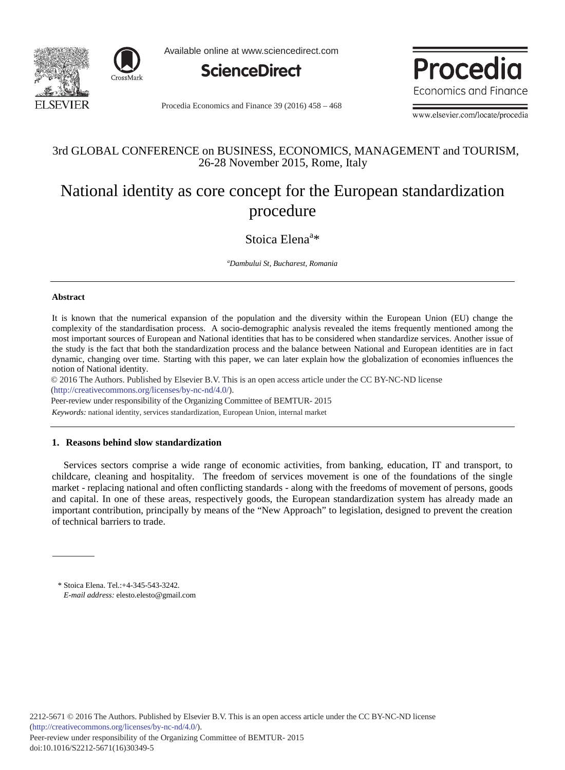



Available online at www.sciencedirect.com



Procedia Economics and Finance 39 (2016) 458 - 468



www.elsevier.com/locate/procedia

# 3rd GLOBAL CONFERENCE on BUSINESS, ECONOMICS, MANAGEMENT and TOURISM, 26-28 November 2015, Rome, Italy

# National identity as core concept for the European standardization procedure

Stoica Elena<sup>a\*</sup>

*a Dambului St, Bucharest, Romania*

#### **Abstract**

It is known that the numerical expansion of the population and the diversity within the European Union (EU) change the complexity of the standardisation process. A socio-demographic analysis revealed the items frequently mentioned among the most important sources of European and National identities that has to be considered when standardize services. Another issue of the study is the fact that both the standardization process and the balance between National and European identities are in fact dynamic, changing over time. Starting with this paper, we can later explain how the globalization of economies influences the notion of National identity.

© 2016 The Authors. Published by Elsevier B.V. © 2016 The Authors. Published by Elsevier B.V. This is an open access article under the CC BY-NC-ND license (http://creativecommons.org/licenses/by-nc-nd/4.0/).

Peer-review under responsibility of the Organizing Committee of BEMTUR- 2015

*Keywords:* national identity, services standardization, European Union, internal market

# **1. Reasons behind slow standardization**

Services sectors comprise a wide range of economic activities, from banking, education, IT and transport, to childcare, cleaning and hospitality. The freedom of services movement is one of the foundations of the single market - replacing national and often conflicting standards - along with the freedoms of movement of persons, goods and capital. In one of these areas, respectively goods, the European standardization system has already made an important contribution, principally by means of the "New Approach" to legislation, designed to prevent the creation of technical barriers to trade.

<sup>\*</sup> Stoica Elena. Tel.:+4-345-543-3242. *E-mail address:* elesto.elesto@gmail.com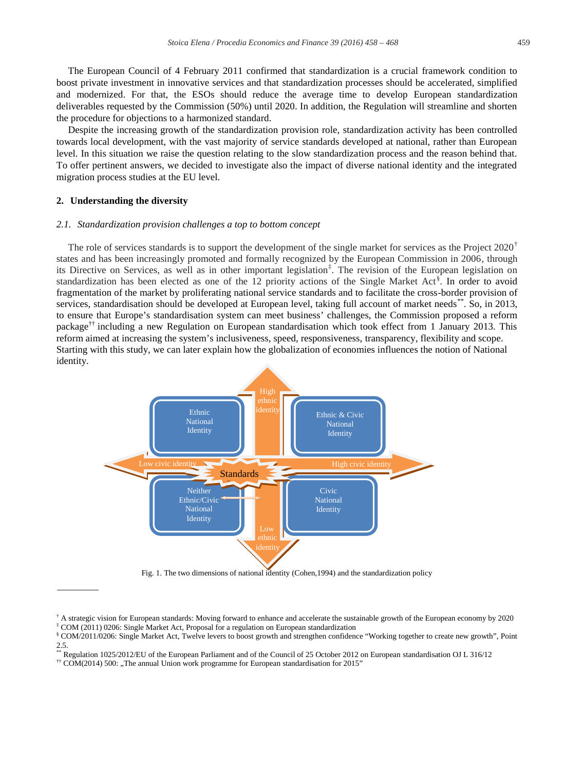The European Council of 4 February 2011 confirmed that standardization is a crucial framework condition to boost private investment in innovative services and that standardization processes should be accelerated, simplified and modernized. For that, the ESOs should reduce the average time to develop European standardization deliverables requested by the Commission (50%) until 2020. In addition, the Regulation will streamline and shorten the procedure for objections to a harmonized standard.

Despite the increasing growth of the standardization provision role, standardization activity has been controlled towards local development, with the vast majority of service standards developed at national, rather than European level. In this situation we raise the question relating to the slow standardization process and the reason behind that. To offer pertinent answers, we decided to investigate also the impact of diverse national identity and the integrated migration process studies at the EU level.

# **2. Understanding the diversity**

#### *2.1. Standardization provision challenges a top to bottom concept*

The role of services standards is to support the development of the single market for services as the Project  $2020^{\dagger}$ states and has been increasingly promoted and formally recognized by the European Commission in 2006, through its Directive on Services, as well as in other important legislation<sup>‡</sup>. The revision of the European legislation on standardization has been elected as one of the  $12$  priority actions of the Single Market Act<sup>§</sup>. In order to avoid fragmentation of the market by proliferating national service standards and to facilitate the cross-border provision of services, standardisation should be developed at European level, taking full account of market needs\*\*. So, in 2013, to ensure that Europe's standardisation system can meet business' challenges, the Commission proposed a reform package†† including a new Regulation on European standardisation which took effect from 1 January 2013. This reform aimed at increasing the system's inclusiveness, speed, responsiveness, transparency, flexibility and scope. Starting with this study, we can later explain how the globalization of economies influences the notion of National identity.



Fig. 1. The two dimensions of national identity (Cohen,1994) and the standardization policy

 $^{\dagger}$  A strategic vision for European standards: Moving forward to enhance and accelerate the sustainable growth of the European economy by 2020 ‡ COM (2011) 0206: Single Market Act, Proposal for a regulation on European standardization

<sup>§</sup> COM/2011/0206: Single Market Act, Twelve levers to boost growth and strengthen confidence "Working together to create new growth", Point  $2.5.$ 

Regulation 1025/2012/EU of the European Parliament and of the Council of 25 October 2012 on European standardisation OJ L 316/12

 $<sup>††</sup>$  COM(2014) 500: "The annual Union work programme for European standardisation for 2015"</sup>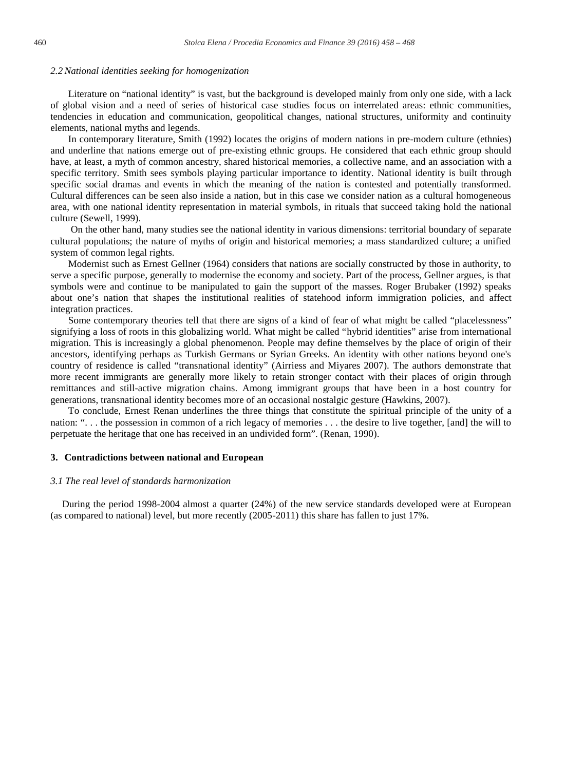#### *2.2National identities seeking for homogenization*

Literature on "national identity" is vast, but the background is developed mainly from only one side, with a lack of global vision and a need of series of historical case studies focus on interrelated areas: ethnic communities, tendencies in education and communication, geopolitical changes, national structures, uniformity and continuity elements, national myths and legends.

In contemporary literature, Smith (1992) locates the origins of modern nations in pre-modern culture (ethnies) and underline that nations emerge out of pre-existing ethnic groups. He considered that each ethnic group should have, at least, a myth of common ancestry, shared historical memories, a collective name, and an association with a specific territory. Smith sees symbols playing particular importance to identity. National identity is built through specific social dramas and events in which the meaning of the nation is contested and potentially transformed. Cultural differences can be seen also inside a nation, but in this case we consider nation as a cultural homogeneous area, with one national identity representation in material symbols, in rituals that succeed taking hold the national culture (Sewell, 1999).

On the other hand, many studies see the national identity in various dimensions: territorial boundary of separate cultural populations; the nature of myths of origin and historical memories; a mass standardized culture; a unified system of common legal rights.

Modernist such as Ernest Gellner (1964) considers that nations are socially constructed by those in authority, to serve a specific purpose, generally to modernise the economy and society. Part of the process, Gellner argues, is that symbols were and continue to be manipulated to gain the support of the masses. Roger Brubaker (1992) speaks about one's nation that shapes the institutional realities of statehood inform immigration policies, and affect integration practices.

Some contemporary theories tell that there are signs of a kind of fear of what might be called "placelessness" signifying a loss of roots in this globalizing world. What might be called "hybrid identities" arise from international migration. This is increasingly a global phenomenon. People may define themselves by the place of origin of their ancestors, identifying perhaps as Turkish Germans or Syrian Greeks. An identity with other nations beyond one's country of residence is called "transnational identity" (Airriess and Miyares 2007). The authors demonstrate that more recent immigrants are generally more likely to retain stronger contact with their places of origin through remittances and still-active migration chains. Among immigrant groups that have been in a host country for generations, transnational identity becomes more of an occasional nostalgic gesture (Hawkins, 2007).

To conclude, Ernest Renan underlines the three things that constitute the spiritual principle of the unity of a nation: ". . . the possession in common of a rich legacy of memories . . . the desire to live together, [and] the will to perpetuate the heritage that one has received in an undivided form". (Renan, 1990).

#### **3. Contradictions between national and European**

#### *3.1 The real level of standards harmonization*

During the period 1998-2004 almost a quarter (24%) of the new service standards developed were at European (as compared to national) level, but more recently (2005-2011) this share has fallen to just 17%.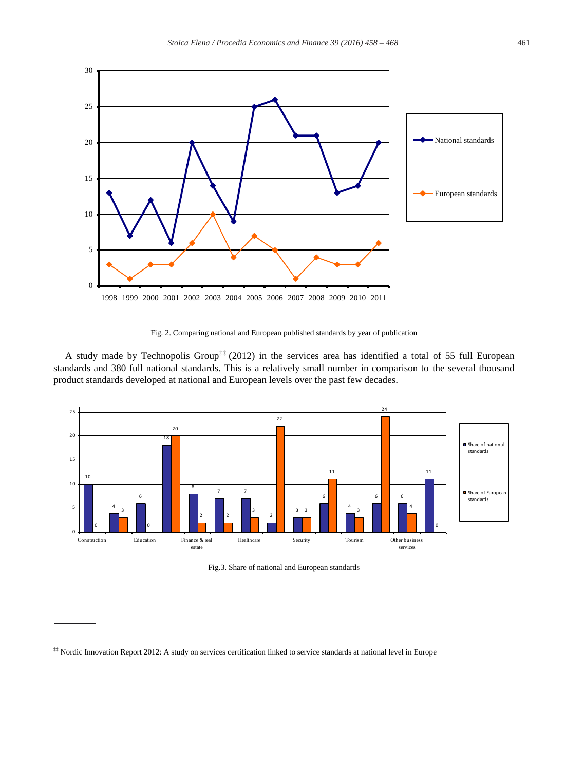

Fig. 2. Comparing national and European published standards by year of publication

A study made by Technopolis Group<sup>##</sup> (2012) in the services area has identified a total of 55 full European standards and 380 full national standards. This is a relatively small number in comparison to the several thousand product standards developed at national and European levels over the past few decades.



Fig.3. Share of national and European standards

<sup>‡‡</sup> Nordic Innovation Report 2012: A study on services certification linked to service standards at national level in Europe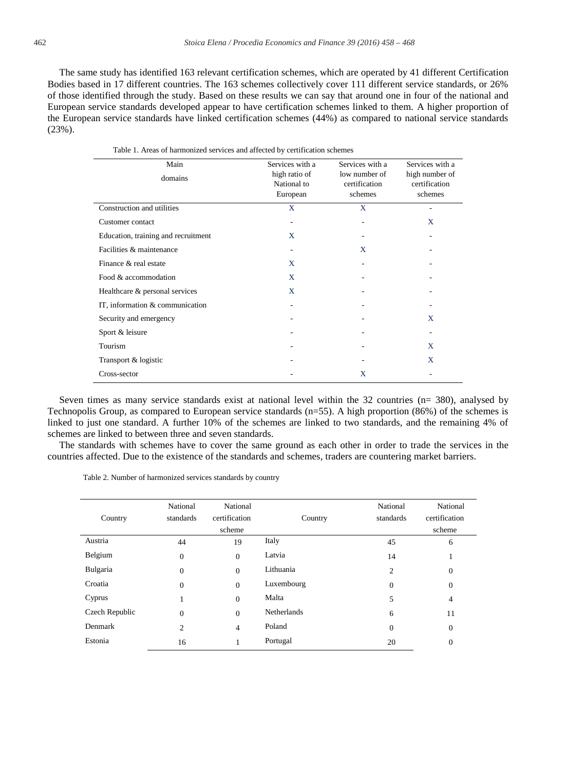The same study has identified 163 relevant certification schemes, which are operated by 41 different Certification Bodies based in 17 different countries. The 163 schemes collectively cover 111 different service standards, or 26% of those identified through the study. Based on these results we can say that around one in four of the national and European service standards developed appear to have certification schemes linked to them. A higher proportion of the European service standards have linked certification schemes (44%) as compared to national service standards (23%).

Table 1. Areas of harmonized services and affected by certification schemes

| raoic 1.7 neas or narmombea services and arrected by cortification senemes |                                                             |                                                              |                                                               |
|----------------------------------------------------------------------------|-------------------------------------------------------------|--------------------------------------------------------------|---------------------------------------------------------------|
| Main<br>domains                                                            | Services with a<br>high ratio of<br>National to<br>European | Services with a<br>low number of<br>certification<br>schemes | Services with a<br>high number of<br>certification<br>schemes |
| Construction and utilities                                                 | $\mathbf{x}$                                                | $\mathbf{x}$                                                 | $\overline{\phantom{0}}$                                      |
| Customer contact                                                           |                                                             |                                                              | X                                                             |
| Education, training and recruitment                                        | X                                                           |                                                              |                                                               |
| Facilities & maintenance                                                   |                                                             | X                                                            |                                                               |
| Finance & real estate                                                      | X                                                           |                                                              |                                                               |
| Food & accommodation                                                       | X                                                           |                                                              |                                                               |
| Healthcare & personal services                                             | X                                                           |                                                              |                                                               |
| IT, information & communication                                            |                                                             |                                                              |                                                               |
| Security and emergency                                                     |                                                             |                                                              | X                                                             |
| Sport & leisure                                                            |                                                             |                                                              |                                                               |
| Tourism                                                                    |                                                             |                                                              | X                                                             |
| Transport & logistic                                                       |                                                             |                                                              | X                                                             |
| Cross-sector                                                               |                                                             | X                                                            |                                                               |

Seven times as many service standards exist at national level within the 32 countries (n= 380), analysed by Technopolis Group, as compared to European service standards (n=55). A high proportion (86%) of the schemes is linked to just one standard. A further 10% of the schemes are linked to two standards, and the remaining 4% of schemes are linked to between three and seven standards.

The standards with schemes have to cover the same ground as each other in order to trade the services in the countries affected. Due to the existence of the standards and schemes, traders are countering market barriers.

Table 2. Number of harmonized services standards by country

|                | National       | National      |                    | National       | National         |
|----------------|----------------|---------------|--------------------|----------------|------------------|
| Country        | standards      | certification | Country            | standards      | certification    |
|                |                | scheme        |                    |                | scheme           |
| Austria        | 44             | 19            | Italy              | 45             | 6                |
| Belgium        | $\overline{0}$ | $\mathbf{0}$  | Latvia             | 14             | 1                |
| Bulgaria       | $\overline{0}$ | $\mathbf{0}$  | Lithuania          | $\overline{2}$ | $\boldsymbol{0}$ |
| Croatia        | $\overline{0}$ | $\mathbf{0}$  | Luxembourg         | $\mathbf{0}$   | $\mathbf{0}$     |
| Cyprus         |                | $\mathbf{0}$  | Malta              | 5              | $\overline{4}$   |
| Czech Republic | $\overline{0}$ | $\mathbf{0}$  | <b>Netherlands</b> | 6              | 11               |
| Denmark        | 2              | 4             | Poland             | $\mathbf{0}$   | $\mathbf{0}$     |
| Estonia        | 16             |               | Portugal           | 20             | $\mathbf{0}$     |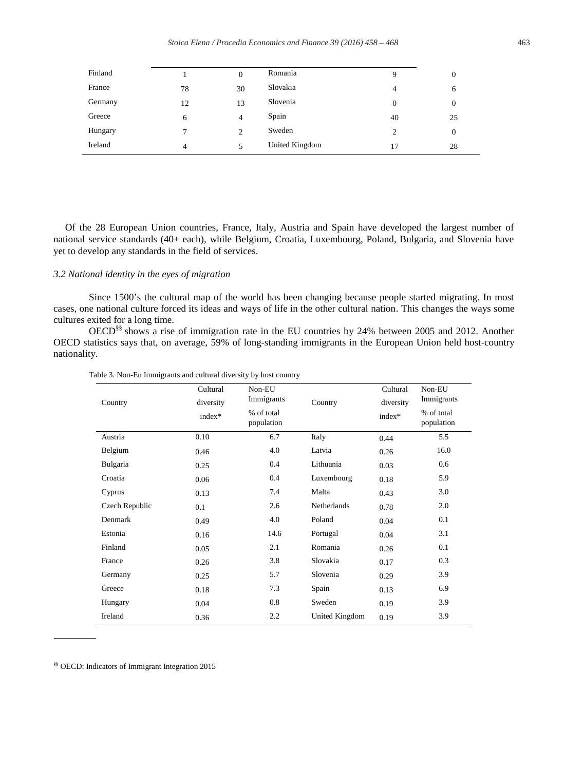*Stoica Elena / Procedia Economics and Finance 39 ( 2016 ) 458 – 468* 463

| Finland |    | $\mathbf{0}$   | Romania        | 9  | $\mathbf{0}$ |
|---------|----|----------------|----------------|----|--------------|
| France  | 78 | 30             | Slovakia       | 4  | 6            |
| Germany | 12 | 13             | Slovenia       | 0  | 0            |
| Greece  | 6  | 4              | Spain          | 40 | 25           |
| Hungary | 7  | $\overline{c}$ | Sweden         | 2  | 0            |
| Ireland | 4  | 5              | United Kingdom | 17 | 28           |

Of the 28 European Union countries, France, Italy, Austria and Spain have developed the largest number of national service standards (40+ each), while Belgium, Croatia, Luxembourg, Poland, Bulgaria, and Slovenia have yet to develop any standards in the field of services.

# *3.2 National identity in the eyes of migration*

Since 1500's the cultural map of the world has been changing because people started migrating. In most cases, one national culture forced its ideas and ways of life in the other cultural nation. This changes the ways some cultures exited for a long time.

OECD§§ shows a rise of immigration rate in the EU countries by 24% between 2005 and 2012. Another OECD statistics says that, on average, 59% of long-standing immigrants in the European Union held host-country nationality.

|  | Table 3. Non-Eu Immigrants and cultural diversity by host country |  |  |  |  |
|--|-------------------------------------------------------------------|--|--|--|--|
|  |                                                                   |  |  |  |  |

| Country        | Cultural<br>diversity | Non-EU<br>Immigrants     | Country        | Cultural<br>diversity | Non-EU<br>Immigrants     |
|----------------|-----------------------|--------------------------|----------------|-----------------------|--------------------------|
|                | index*                | % of total<br>population |                | index*                | % of total<br>population |
| Austria        | 0.10                  | 6.7                      | Italy          | 0.44                  | 5.5                      |
| Belgium        | 0.46                  | 4.0                      | Latvia         | 0.26                  | 16.0                     |
| Bulgaria       | 0.25                  | 0.4                      | Lithuania      | 0.03                  | 0.6                      |
| Croatia        | 0.06                  | 0.4                      | Luxembourg     | 0.18                  | 5.9                      |
| Cyprus         | 0.13                  | 7.4                      | Malta          | 0.43                  | 3.0                      |
| Czech Republic | 0.1                   | 2.6                      | Netherlands    | 0.78                  | 2.0                      |
| Denmark        | 0.49                  | 4.0                      | Poland         | 0.04                  | 0.1                      |
| Estonia        | 0.16                  | 14.6                     | Portugal       | 0.04                  | 3.1                      |
| Finland        | 0.05                  | 2.1                      | Romania        | 0.26                  | 0.1                      |
| France         | 0.26                  | 3.8                      | Slovakia       | 0.17                  | 0.3                      |
| Germany        | 0.25                  | 5.7                      | Slovenia       | 0.29                  | 3.9                      |
| Greece         | 0.18                  | 7.3                      | Spain          | 0.13                  | 6.9                      |
| Hungary        | 0.04                  | 0.8                      | Sweden         | 0.19                  | 3.9                      |
| Ireland        | 0.36                  | 2.2                      | United Kingdom | 0.19                  | 3.9                      |

§§ OECD: Indicators of Immigrant Integration 2015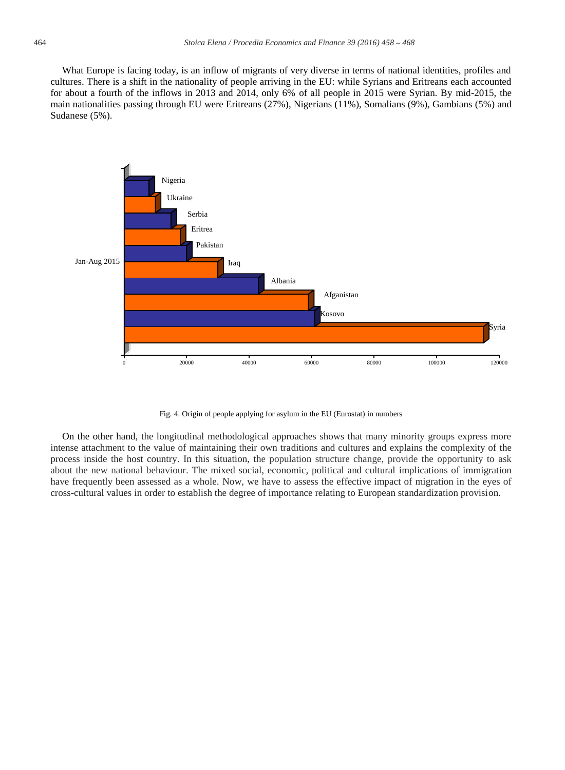What Europe is facing today, is an inflow of migrants of very diverse in terms of national identities, profiles and cultures. There is a shift in the nationality of people arriving in the EU: while Syrians and Eritreans each accounted for about a fourth of the inflows in 2013 and 2014, only 6% of all people in 2015 were Syrian. By mid-2015, the main nationalities passing through EU were Eritreans (27%), Nigerians (11%), Somalians (9%), Gambians (5%) and Sudanese (5%).



Fig. 4. Origin of people applying for asylum in the EU (Eurostat) in numbers

On the other hand, the longitudinal methodological approaches shows that many minority groups express more intense attachment to the value of maintaining their own traditions and cultures and explains the complexity of the process inside the host country. In this situation, the population structure change, provide the opportunity to ask about the new national behaviour. The mixed social, economic, political and cultural implications of immigration have frequently been assessed as a whole. Now, we have to assess the effective impact of migration in the eyes of cross-cultural values in order to establish the degree of importance relating to European standardization provision.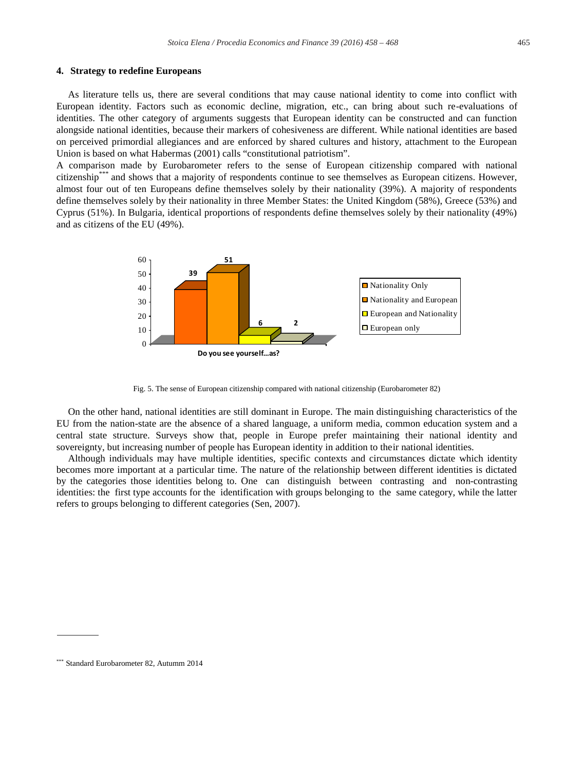#### **4. Strategy to redefine Europeans**

As literature tells us, there are several conditions that may cause national identity to come into conflict with European identity. Factors such as economic decline, migration, etc., can bring about such re-evaluations of identities. The other category of arguments suggests that European identity can be constructed and can function alongside national identities, because their markers of cohesiveness are different. While national identities are based on perceived primordial allegiances and are enforced by shared cultures and history, attachment to the European Union is based on what Habermas (2001) calls "constitutional patriotism".

A comparison made by Eurobarometer refers to the sense of European citizenship compared with national citizenship\*\*\* and shows that a majority of respondents continue to see themselves as European citizens. However, almost four out of ten Europeans define themselves solely by their nationality (39%). A majority of respondents define themselves solely by their nationality in three Member States: the United Kingdom (58%), Greece (53%) and Cyprus (51%). In Bulgaria, identical proportions of respondents define themselves solely by their nationality (49%) and as citizens of the EU (49%).



Fig. 5. The sense of European citizenship compared with national citizenship (Eurobarometer 82)

On the other hand, national identities are still dominant in Europe. The main distinguishing characteristics of the EU from the nation-state are the absence of a shared language, a uniform media, common education system and a central state structure. Surveys show that, people in Europe prefer maintaining their national identity and sovereignty, but increasing number of people has European identity in addition to their national identities.

Although individuals may have multiple identities, specific contexts and circumstances dictate which identity becomes more important at a particular time. The nature of the relationship between different identities is dictated by the categories those identities belong to. One can distinguish between contrasting and non-contrasting identities: the first type accounts for the identification with groups belonging to the same category, while the latter refers to groups belonging to different categories (Sen, 2007).

<sup>\*\*\*</sup> Standard Eurobarometer 82, Autumm 2014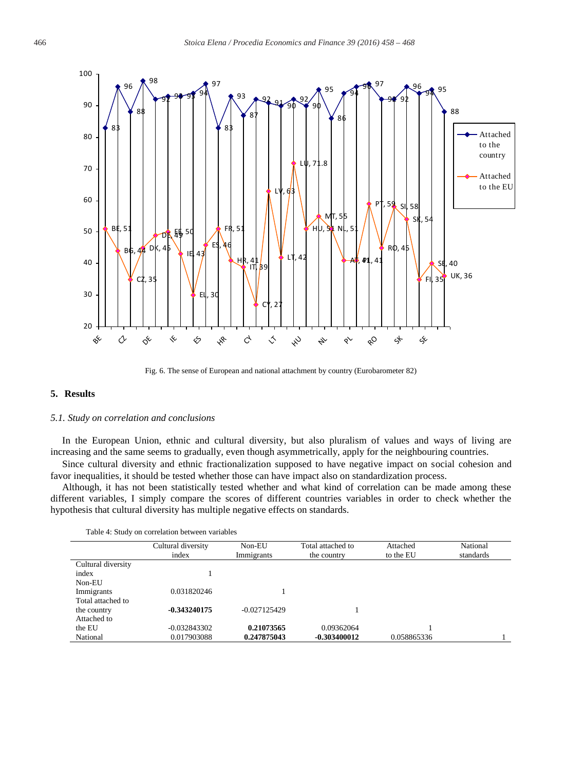

Fig. 6. The sense of European and national attachment by country (Eurobarometer 82)

# **5. Results**

# *5.1. Study on correlation and conclusions*

In the European Union, ethnic and cultural diversity, but also pluralism of values and ways of living are increasing and the same seems to gradually, even though asymmetrically, apply for the neighbouring countries.

Since cultural diversity and ethnic fractionalization supposed to have negative impact on social cohesion and favor inequalities, it should be tested whether those can have impact also on standardization process.

Although, it has not been statistically tested whether and what kind of correlation can be made among these different variables, I simply compare the scores of different countries variables in order to check whether the hypothesis that cultural diversity has multiple negative effects on standards.

|  |  |  | Table 4: Study on correlation between variables |  |  |
|--|--|--|-------------------------------------------------|--|--|
|--|--|--|-------------------------------------------------|--|--|

| Cultural diversity<br>index | Non-EU<br>Immigrants | Total attached to<br>the country | Attached<br>to the EU | National<br>standards |
|-----------------------------|----------------------|----------------------------------|-----------------------|-----------------------|
|                             |                      |                                  |                       |                       |
|                             |                      |                                  |                       |                       |
|                             |                      |                                  |                       |                       |
| 0.031820246                 |                      |                                  |                       |                       |
|                             |                      |                                  |                       |                       |
| -0.343240175                | $-0.027125429$       |                                  |                       |                       |
|                             |                      |                                  |                       |                       |
| $-0.032843302$              | 0.21073565           | 0.09362064                       |                       |                       |
| 0.017903088                 | 0.247875043          | -0.303400012                     | 0.058865336           |                       |
|                             |                      |                                  |                       |                       |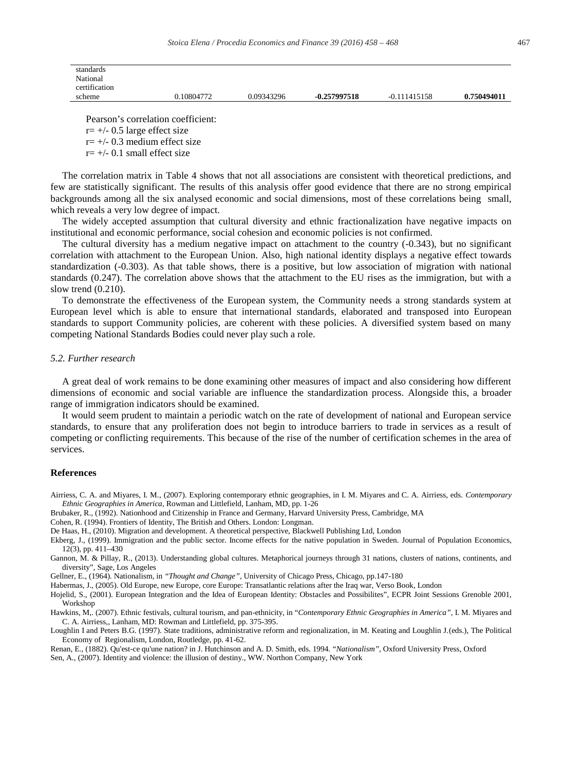| standards     |            |            |                |                |             |
|---------------|------------|------------|----------------|----------------|-------------|
| National      |            |            |                |                |             |
| certification |            |            |                |                |             |
| scheme        | 0.10804772 | 0.09343296 | $-0.257997518$ | $-0.111415158$ | 0.750494011 |
|               |            |            |                |                |             |

Pearson's correlation coefficient:  $r= +/- 0.5$  large effect size

 $r= +/- 0.3$  medium effect size  $r= +/2$  0.1 small effect size

The correlation matrix in Table 4 shows that not all associations are consistent with theoretical predictions, and few are statistically significant. The results of this analysis offer good evidence that there are no strong empirical backgrounds among all the six analysed economic and social dimensions, most of these correlations being small, which reveals a very low degree of impact.

The widely accepted assumption that cultural diversity and ethnic fractionalization have negative impacts on institutional and economic performance, social cohesion and economic policies is not confirmed.

The cultural diversity has a medium negative impact on attachment to the country (-0.343), but no significant correlation with attachment to the European Union. Also, high national identity displays a negative effect towards standardization (-0.303). As that table shows, there is a positive, but low association of migration with national standards (0.247). The correlation above shows that the attachment to the EU rises as the immigration, but with a slow trend (0.210).

To demonstrate the effectiveness of the European system, the Community needs a strong standards system at European level which is able to ensure that international standards, elaborated and transposed into European standards to support Community policies, are coherent with these policies. A diversified system based on many competing National Standards Bodies could never play such a role.

# *5.2. Further research*

A great deal of work remains to be done examining other measures of impact and also considering how different dimensions of economic and social variable are influence the standardization process. Alongside this, a broader range of immigration indicators should be examined.

It would seem prudent to maintain a periodic watch on the rate of development of national and European service standards, to ensure that any proliferation does not begin to introduce barriers to trade in services as a result of competing or conflicting requirements. This because of the rise of the number of certification schemes in the area of services.

# **References**

Airriess, C. A. and Miyares, I. M., (2007). Exploring contemporary ethnic geographies, in I. M. Miyares and C. A. Airriess, eds. *Contemporary Ethnic Geographies in America,* Rowman and Littlefield, Lanham, MD, pp. 1-26

Brubaker, R., (1992). Nationhood and Citizenship in France and Germany, Harvard University Press, Cambridge, MA

Cohen, R. (1994). Frontiers of Identity, The British and Others. London: Longman.

De Haas, H., (2010). Migration and development. A theoretical perspective, Blackwell Publishing Ltd, London

Ekberg, J., (1999). Immigration and the public sector. Income effects for the native population in Sweden. Journal of Population Economics, 12(3), pp. 411–430

Gannon, M. & Pillay, R., (2013). Understanding global cultures. Metaphorical journeys through 31 nations, clusters of nations, continents, and diversity", Sage, Los Angeles

Gellner, E., (1964). Nationalism, in *"Thought and Change",* University of Chicago Press, Chicago, pp.147-180

Habermas, J., (2005). Old Europe, new Europe, core Europe: Transatlantic relations after the Iraq war, Verso Book, London

Hojelid, S., (2001). European Integration and the Idea of European Identity: Obstacles and Possibilites", ECPR Joint Sessions Grenoble 2001, Workshop

Hawkins, M,. (2007). Ethnic festivals, cultural tourism, and pan-ethnicity, in "*Contemporary Ethnic Geographies in America",* I. M. Miyares and C. A. Airriess,*,* Lanham, MD: Rowman and Littlefield, pp. 375-395.

Loughlin I and Peters B.G. (1997). State traditions, administrative reform and regionalization, in M. Keating and Loughlin J.(eds.), The Political Economy of Regionalism, London, Routledge, pp. 41-62.

Renan, E., (1882). Qu'est-ce qu'une nation? in J. Hutchinson and A. D. Smith, eds. 1994. "*Nationalism",* Oxford University Press, Oxford Sen, A., (2007). Identity and violence: the illusion of destiny., WW. Northon Company, New York